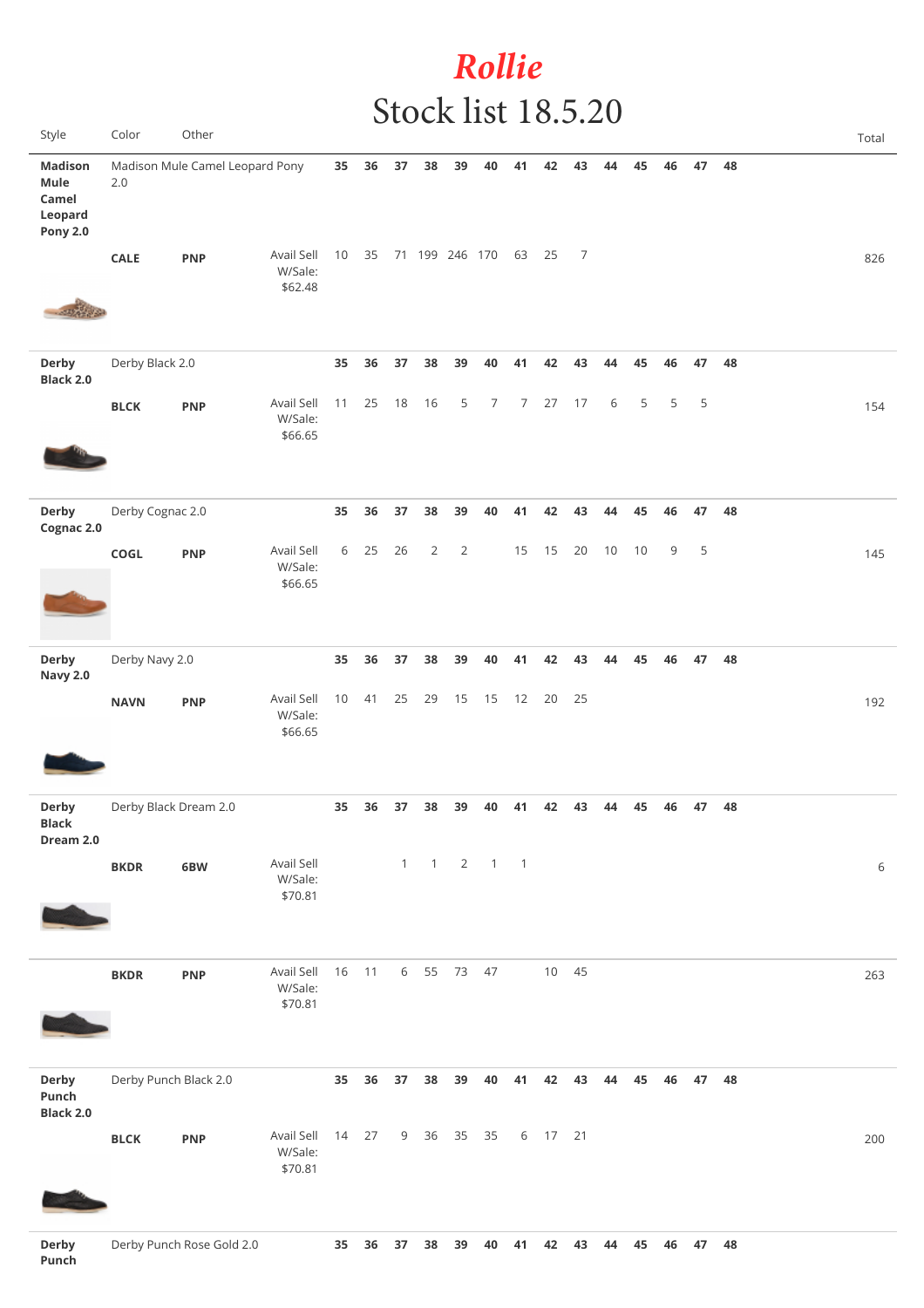## *Rollie* Stock list 18.5.20

| Style                                                         | Color                 | Other                           |                                  |       |    |    |                   |                |                                     |                |         |       |    |    |    |    |    | Total |
|---------------------------------------------------------------|-----------------------|---------------------------------|----------------------------------|-------|----|----|-------------------|----------------|-------------------------------------|----------------|---------|-------|----|----|----|----|----|-------|
| <b>Madison</b><br>Mule<br>Camel<br>Leopard<br><b>Pony 2.0</b> | 2.0                   | Madison Mule Camel Leopard Pony |                                  | 35    | 36 | 37 | 38                | 39             | 40                                  | 41             | 42      | 43    | 44 | 45 | 46 | 47 | 48 |       |
| -03370-0                                                      | <b>CALE</b>           | <b>PNP</b>                      | Avail Sell<br>W/Sale:<br>\$62.48 | 10    |    |    | 35 71 199 246 170 |                |                                     | 63 25          |         | 7     |    |    |    |    |    | 826   |
| <b>Derby</b><br><b>Black 2.0</b>                              | Derby Black 2.0       |                                 |                                  | 35    | 36 | 37 | 38                | 39             | 40                                  | 41             | 42      | 43    | 44 | 45 | 46 | 47 | 48 |       |
|                                                               | <b>BLCK</b>           | <b>PNP</b>                      | Avail Sell<br>W/Sale:<br>\$66.65 | 11    | 25 | 18 | 16                | 5              | 7                                   | 7 <sup>7</sup> | 27      | 17    | 6  | 5  | 5  | 5  |    | 154   |
| Derby<br>Cognac 2.0                                           | Derby Cognac 2.0      |                                 |                                  | 35    | 36 | 37 | 38                | 39             | 40                                  | 41             | 42      | 43    | 44 | 45 | 46 | 47 | 48 |       |
|                                                               | COGL                  | <b>PNP</b>                      | Avail Sell<br>W/Sale:<br>\$66.65 | 6     | 25 | 26 | $\overline{2}$    | $\overline{2}$ |                                     | 15             | 15      | 20    | 10 | 10 | 9  | 5  |    | 145   |
| Derby<br><b>Navy 2.0</b>                                      | Derby Navy 2.0        |                                 |                                  | 35    | 36 | 37 | 38                | 39             | 40                                  | 41             | 42      | 43    | 44 | 45 | 46 | 47 | 48 |       |
|                                                               | <b>NAVN</b>           | <b>PNP</b>                      | Avail Sell<br>W/Sale:<br>\$66.65 | 10    | 41 | 25 | 29                | 15             | 15                                  | 12             | 20      | 25    |    |    |    |    |    | 192   |
| <b>Derby</b><br>Black<br>Dream 2.0                            | Derby Black Dream 2.0 |                                 |                                  | 35    | 36 | 37 | 38                | 39             | 40                                  | 41             | 42      | 43    | 44 | 45 | 46 | 47 | 48 |       |
|                                                               | <b>BKDR</b>           | 6BW                             | Avail Sell<br>W/Sale:<br>\$70.81 |       |    |    |                   |                | $1 \quad 1 \quad 2 \quad 1 \quad 1$ |                |         |       |    |    |    |    |    | 6     |
|                                                               | <b>BKDR</b>           | <b>PNP</b>                      | Avail Sell<br>W/Sale:<br>\$70.81 | 16 11 |    |    | 6 55 73 47        |                |                                     |                |         | 10 45 |    |    |    |    |    | 263   |
| Derby<br>Punch<br><b>Black 2.0</b>                            | Derby Punch Black 2.0 |                                 |                                  | 35    | 36 | 37 | 38                | 39             | 40                                  | 41             | 42      | 43    | 44 | 45 | 46 | 47 | 48 |       |
|                                                               | <b>BLCK</b>           | <b>PNP</b>                      | Avail Sell<br>W/Sale:<br>\$70.81 | 14    | 27 |    | 9 36 35           |                | 35                                  |                | 6 17 21 |       |    |    |    |    |    | 200   |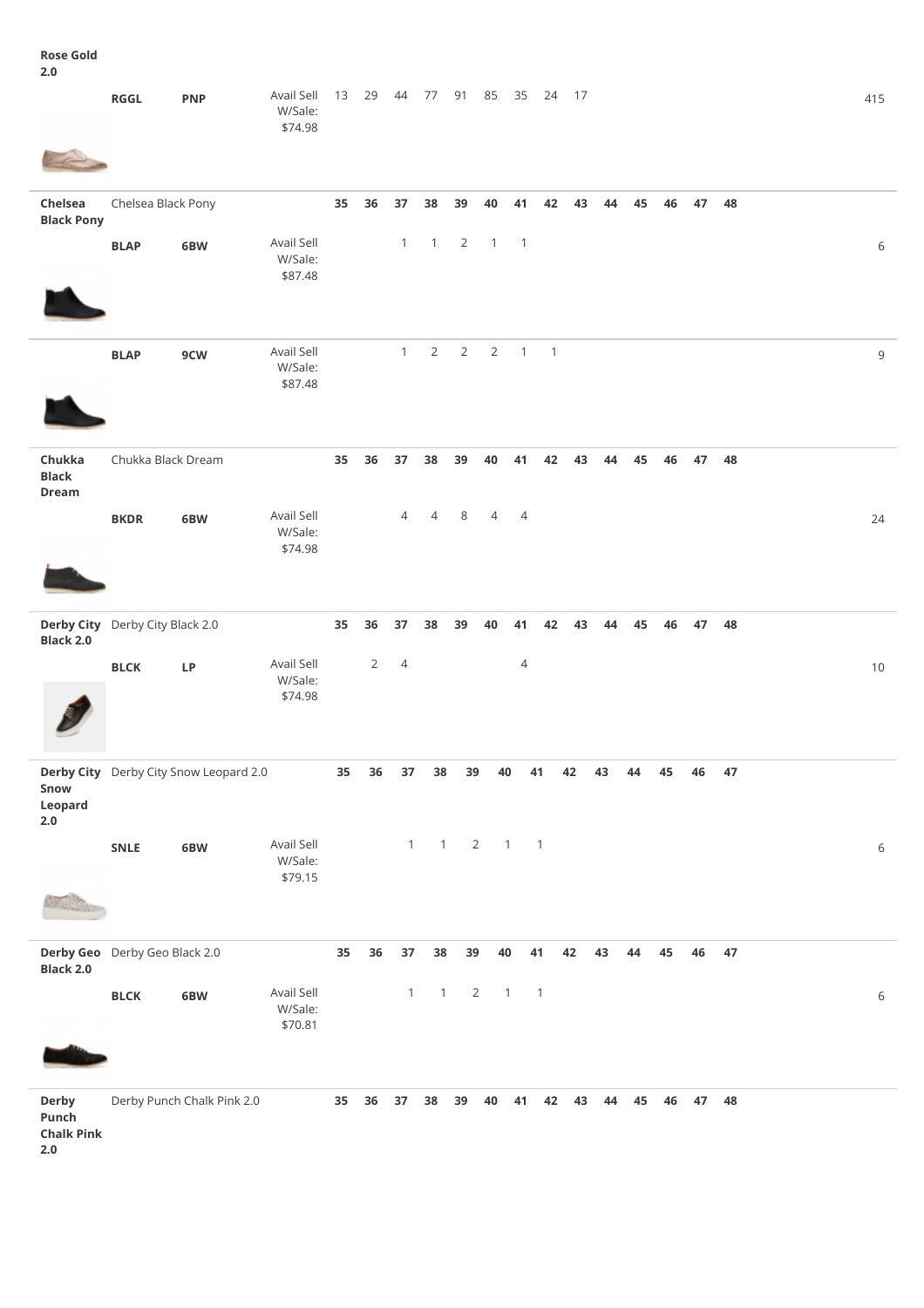**Rose Gold 2.0**

|                                            | RGGL                            | <b>PNP</b>                             | Avail Sell<br>W/Sale:<br>\$74.98 | 13 | 29             | 44             | 77 91                                   |                | 85             | 35                       | 24                       | 17 |    |    |    |    |    | 415         |
|--------------------------------------------|---------------------------------|----------------------------------------|----------------------------------|----|----------------|----------------|-----------------------------------------|----------------|----------------|--------------------------|--------------------------|----|----|----|----|----|----|-------------|
|                                            |                                 |                                        |                                  |    |                |                |                                         |                |                |                          |                          |    |    |    |    |    |    |             |
| Chelsea<br><b>Black Pony</b>               | Chelsea Black Pony              |                                        |                                  | 35 | 36             | 37             | 38                                      | 39             | 40             | 41                       | 42                       | 43 | 44 | 45 | 46 | 47 | 48 |             |
|                                            | <b>BLAP</b>                     | 6BW                                    | Avail Sell<br>W/Sale:<br>\$87.48 |    |                | $\mathbf{1}$   | $\mathbf{1}$                            | $\overline{2}$ | $\overline{1}$ | $\overline{\phantom{0}}$ |                          |    |    |    |    |    |    | $\,$ 6 $\,$ |
|                                            | <b>BLAP</b>                     | 9CW                                    | Avail Sell<br>W/Sale:<br>\$87.48 |    |                | $\mathbf{1}$   | $\overline{2}$                          | $\overline{2}$ | $\overline{2}$ | $\mathbf{1}$             | $\overline{\phantom{0}}$ |    |    |    |    |    |    | 9           |
| Chukka<br><b>Black</b><br><b>Dream</b>     | Chukka Black Dream              |                                        |                                  | 35 | 36             | 37             | 38                                      | 39             | 40             | 41                       | 42                       | 43 | 44 | 45 | 46 | 47 | 48 |             |
|                                            | <b>BKDR</b>                     | 6BW                                    | Avail Sell<br>W/Sale:<br>\$74.98 |    |                | $\overline{4}$ | $\overline{4}$                          | 8              | $\overline{4}$ | $\overline{4}$           |                          |    |    |    |    |    |    | 24          |
|                                            | Derby City Derby City Black 2.0 |                                        |                                  | 35 | 36             | 37             | 38                                      | 39             | 40             | 41                       | 42                       | 43 | 44 | 45 | 46 | 47 | 48 |             |
| Black 2.0                                  | <b>BLCK</b>                     | LP                                     | Avail Sell<br>W/Sale:<br>\$74.98 |    | $\overline{2}$ | $\overline{4}$ |                                         |                |                | $\overline{4}$           |                          |    |    |    |    |    |    | $10$        |
| Snow<br>Leopard<br>$2.0\,$                 |                                 | Derby City Derby City Snow Leopard 2.0 |                                  | 35 | 36             | 37             | 38                                      | 39             | 40             |                          | 41                       | 42 | 43 | 44 | 45 | 46 | 47 |             |
|                                            | SNLE                            | 6BW                                    | Avail Sell<br>W/Sale:<br>\$79.15 |    |                |                | $1 \qquad 1 \qquad 2 \qquad 1 \qquad 1$ |                |                |                          |                          |    |    |    |    |    |    | 6           |
| <b>Black 2.0</b>                           | Derby Geo Derby Geo Black 2.0   |                                        |                                  | 35 | 36             | $37\,$         | 38                                      | 39             | 40             |                          | 41                       | 42 | 43 | 44 | 45 | 46 | 47 |             |
|                                            | <b>BLCK</b>                     | 6BW                                    | Avail Sell<br>W/Sale:<br>\$70.81 |    |                | $\mathbf{1}$   | $\overline{1}$                          | $\overline{2}$ | $\overline{1}$ |                          | $\overline{1}$           |    |    |    |    |    |    | 6           |
| <b>Derby</b><br>Punch<br><b>Chalk Pink</b> |                                 | Derby Punch Chalk Pink 2.0             |                                  | 35 | 36             | 37             | 38                                      | 39             | 40             | 41                       | 42                       | 43 | 44 | 45 | 46 | 47 | 48 |             |

**2.0**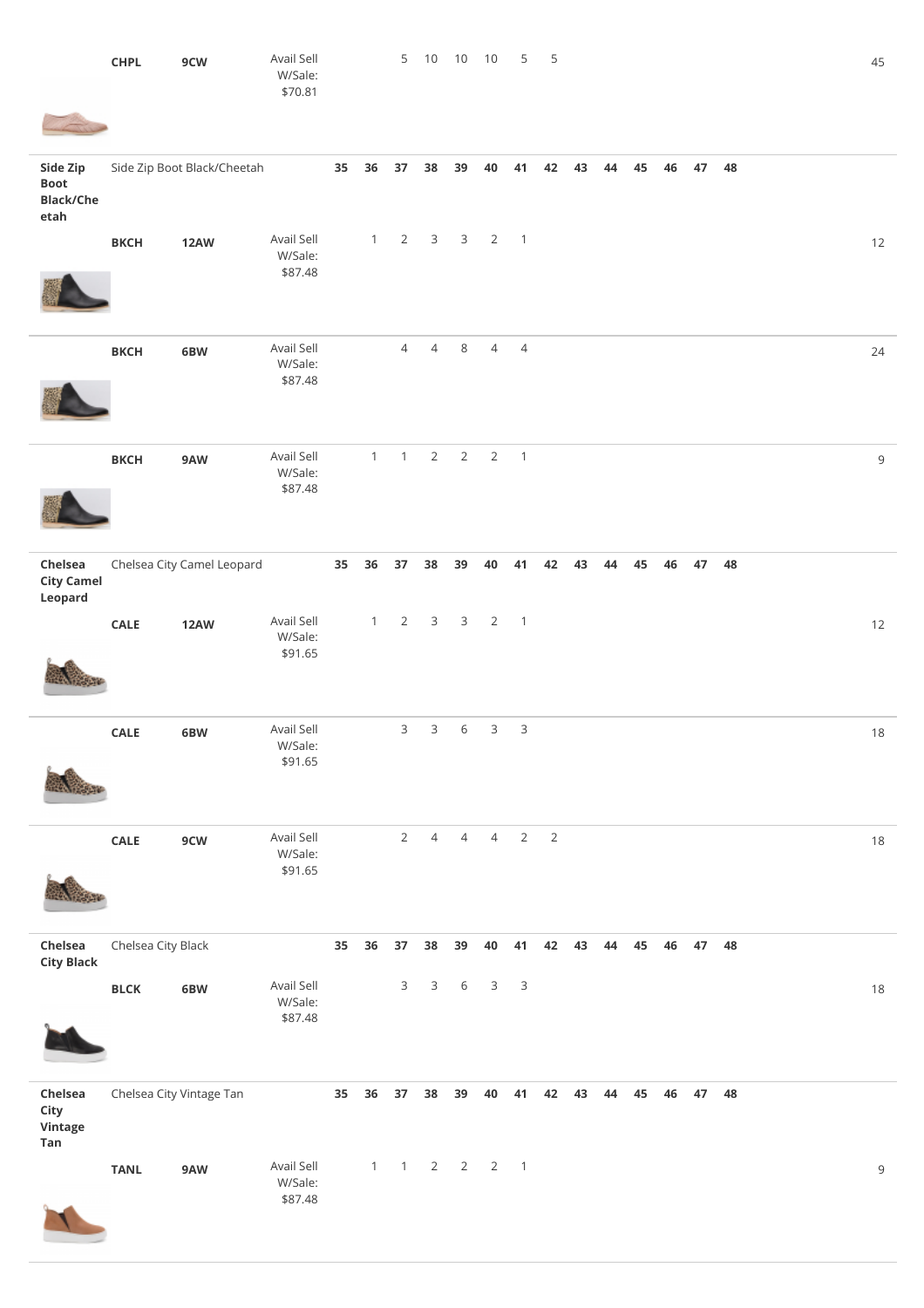|                                                     | <b>CHPL</b>        | 9CW                         | Avail Sell<br>W/Sale:<br>\$70.81 |                 |              |                 | 5 10           | 10                    | 10             | 5                        | 5              |    |    |    |    |       |    |  | 45          |
|-----------------------------------------------------|--------------------|-----------------------------|----------------------------------|-----------------|--------------|-----------------|----------------|-----------------------|----------------|--------------------------|----------------|----|----|----|----|-------|----|--|-------------|
| Side Zip<br><b>Boot</b><br><b>Black/Che</b><br>etah |                    | Side Zip Boot Black/Cheetah |                                  | 35              | 36           | 37              | 38             | 39                    | 40             | 41                       | 42             | 43 | 44 | 45 | 46 | 47    | 48 |  |             |
|                                                     | <b>BKCH</b>        | <b>12AW</b>                 | Avail Sell<br>W/Sale:<br>\$87.48 |                 | $\mathbf{1}$ | $2\overline{ }$ | 3 <sup>7</sup> |                       | 3 <sub>2</sub> | $\overline{1}$           |                |    |    |    |    |       |    |  | 12          |
|                                                     | <b>BKCH</b>        | 6BW                         | Avail Sell<br>W/Sale:<br>\$87.48 |                 |              | $\overline{4}$  | $\overline{4}$ | 8                     | $\overline{4}$ | $\overline{4}$           |                |    |    |    |    |       |    |  | 24          |
|                                                     | <b>BKCH</b>        | 9AW                         | Avail Sell<br>W/Sale:<br>\$87.48 |                 | $\mathbf{1}$ | $\mathbf{1}$    | $\overline{2}$ | $\overline{2}$        | $\overline{2}$ | $\overline{\phantom{0}}$ |                |    |    |    |    |       |    |  | $\mathsf 9$ |
| Chelsea<br><b>City Camel</b><br>Leopard             |                    | Chelsea City Camel Leopard  |                                  | 35 <sub>5</sub> | 36           | 37              | 38             | 39                    | 40             | 41                       | 42             | 43 | 44 | 45 | 46 | 47    | 48 |  |             |
|                                                     | CALE               | <b>12AW</b>                 | Avail Sell<br>W/Sale:<br>\$91.65 |                 | $\mathbf{1}$ | $2^{\circ}$     | $\mathbf{3}$   | $\mathbf{3}$          | $\overline{2}$ | $\overline{1}$           |                |    |    |    |    |       |    |  | 12          |
|                                                     | CALE               | 6BW                         | Avail Sell<br>W/Sale:<br>\$91.65 |                 |              | $\mathsf{3}$    | $\mathsf{3}$   | 6                     | 3              | $\mathsf 3$              |                |    |    |    |    |       |    |  | 18          |
|                                                     | CALE               | 9CW                         | Avail Sell<br>W/Sale:<br>\$91.65 |                 |              | $\overline{2}$  | $\overline{4}$ | $\overline{4}$        | $\overline{4}$ | $\overline{2}$           | $\overline{2}$ |    |    |    |    |       |    |  | 18          |
| Chelsea<br><b>City Black</b>                        | Chelsea City Black |                             |                                  | 35              | 36           | 37              | 38             | 39                    | 40             | 41                       | 42             | 43 | 44 | 45 | 46 | 47 48 |    |  |             |
|                                                     | <b>BLCK</b>        | 6BW                         | Avail Sell<br>W/Sale:<br>\$87.48 |                 |              | $\mathbf{3}$    | $\mathsf{3}$   | 6                     | 3              | $\mathsf 3$              |                |    |    |    |    |       |    |  | 18          |
| Chelsea<br>City<br>Vintage<br>Tan                   |                    | Chelsea City Vintage Tan    |                                  | 35              | 36           | 37              | 38             | 39                    | 40             | 41                       | 42             | 43 | 44 | 45 | 46 | 47 48 |    |  |             |
|                                                     | <b>TANL</b>        | 9AW                         | Avail Sell<br>W/Sale:<br>\$87.48 |                 | $\mathbf{1}$ | $\mathbf{1}$    |                | $2 \qquad 2 \qquad 2$ |                | $\overline{\phantom{0}}$ |                |    |    |    |    |       |    |  | $\mathsf 9$ |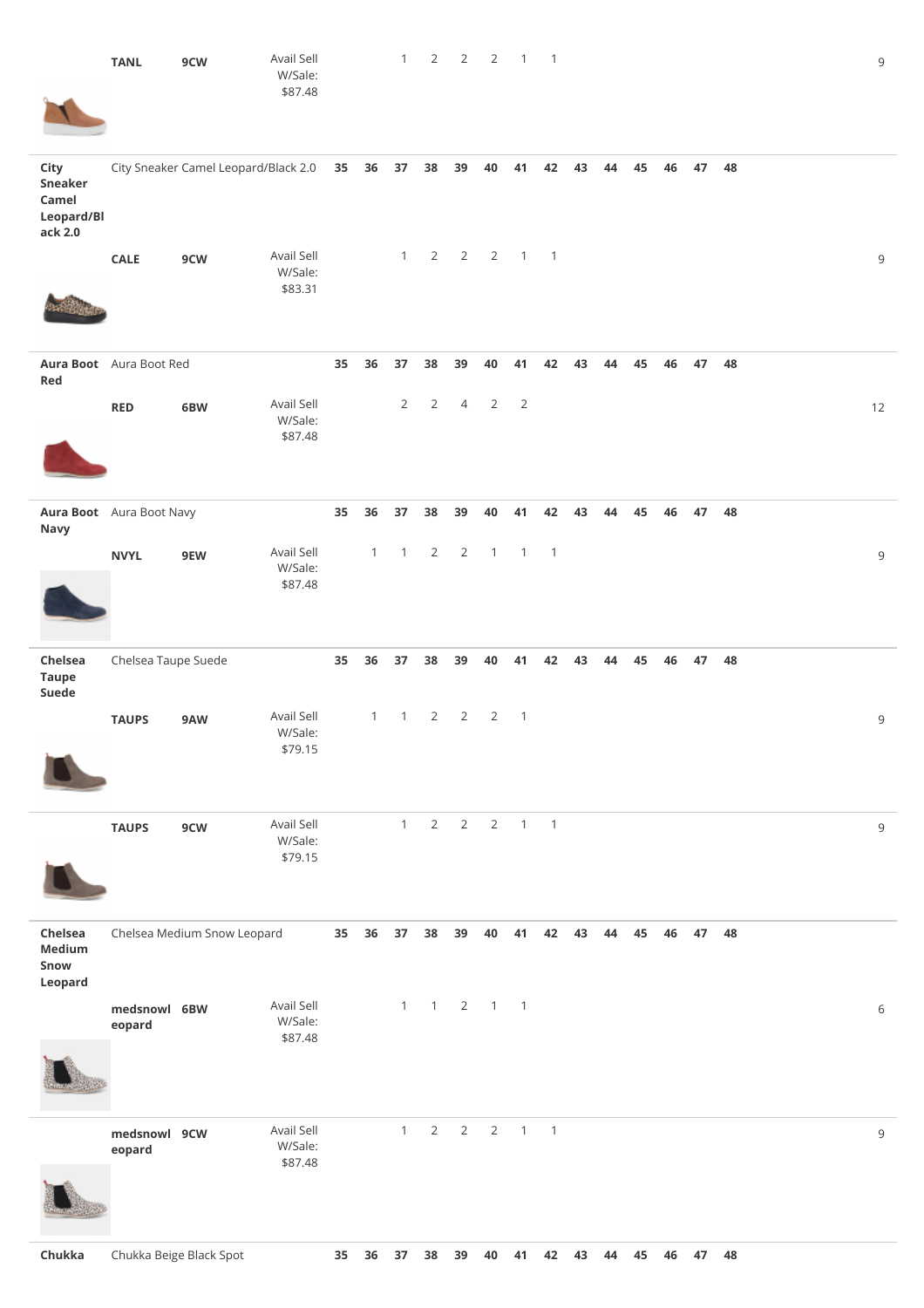|                                                          | <b>TANL</b>              | 9CW                                  | Avail Sell<br>W/Sale:<br>\$87.48 |       |                     | 1                    | $\overline{2}$       | $\overline{2}$       | $\overline{2}$        | $\overline{1}$       | $\overline{1}$             |    |    |       |    |       |    |  | $\mathsf 9$ |
|----------------------------------------------------------|--------------------------|--------------------------------------|----------------------------------|-------|---------------------|----------------------|----------------------|----------------------|-----------------------|----------------------|----------------------------|----|----|-------|----|-------|----|--|-------------|
| City<br><b>Sneaker</b><br>Camel<br>Leopard/Bl<br>ack 2.0 |                          | City Sneaker Camel Leopard/Black 2.0 |                                  | 35 36 |                     | 37                   | 38                   | 39                   | 40                    | 41                   | 42                         | 43 | 44 | 45    | 46 | 47    | 48 |  |             |
|                                                          | <b>CALE</b>              | 9CW                                  | Avail Sell<br>W/Sale:<br>\$83.31 |       |                     | 1                    | $\overline{2}$       | $\overline{2}$       | $\overline{2}$        | $\overline{1}$       | $\overline{\phantom{0}}$   |    |    |       |    |       |    |  | $\,9$       |
| Red                                                      | Aura Boot Aura Boot Red  |                                      |                                  | 35    | 36                  | 37                   | 38                   | 39                   | 40                    | 41                   | 42                         | 43 | 44 | 45    | 46 | 47    | 48 |  |             |
|                                                          | RED                      | 6BW                                  | Avail Sell<br>W/Sale:<br>\$87.48 |       |                     | $\overline{2}$       | $\overline{2}$       | $\overline{4}$       | $\overline{2}$        | $\overline{2}$       |                            |    |    |       |    |       |    |  | 12          |
|                                                          |                          |                                      |                                  |       |                     |                      |                      |                      |                       |                      |                            |    |    |       |    |       |    |  |             |
| Navy                                                     | Aura Boot Aura Boot Navy |                                      | Avail Sell                       | 35    | 36<br>$\mathbbm{1}$ | 37<br>$\overline{1}$ | 38<br>$\overline{2}$ | 39<br>$\overline{2}$ | 40<br>$\overline{1}$  | 41<br>$\overline{1}$ | 42<br>$\overline{1}$       | 43 | 44 | 45    | 46 | 47    | 48 |  |             |
|                                                          | <b>NVYL</b>              | 9EW                                  | W/Sale:<br>\$87.48               |       |                     |                      |                      |                      |                       |                      |                            |    |    |       |    |       |    |  | $\,9$       |
| Chelsea<br><b>Taupe</b><br>Suede                         | Chelsea Taupe Suede      |                                      |                                  | 35    | 36                  | 37                   | 38                   | 39                   | 40                    | 41                   | 42                         | 43 | 44 | 45    | 46 | 47    | 48 |  |             |
|                                                          | <b>TAUPS</b>             | 9AW                                  | Avail Sell<br>W/Sale:<br>\$79.15 |       | $\mathbf{1}$        | $\mathbf{1}$         | $\overline{2}$       | $\overline{2}$       | $\overline{2}$        | $\mathbf{1}$         |                            |    |    |       |    |       |    |  | $\,9$       |
|                                                          | <b>TAUPS</b>             | 9CW                                  | Avail Sell<br>W/Sale:<br>\$79.15 |       |                     | 1                    | $\overline{2}$       | $\overline{2}$       | $\overline{2}$        |                      | $1 \quad 1$                |    |    |       |    |       |    |  | $\mathsf 9$ |
| Chelsea<br>Medium<br>Snow<br>Leopard                     |                          | Chelsea Medium Snow Leopard          |                                  |       | 35 36               | 37 <sub>2</sub>      |                      | 38 39                |                       | 40 41                | 42                         | 43 | 44 | 45 46 |    | 47 48 |    |  |             |
|                                                          | medsnowl 6BW<br>eopard   |                                      | Avail Sell<br>W/Sale:<br>\$87.48 |       |                     | $\mathbf{1}$         | $\overline{1}$       |                      | $2 \qquad 1 \qquad 1$ |                      |                            |    |    |       |    |       |    |  | $\,$ 6 $\,$ |
|                                                          |                          |                                      |                                  |       |                     |                      |                      |                      |                       |                      |                            |    |    |       |    |       |    |  |             |
|                                                          | medsnowl 9CW<br>eopard   |                                      | Avail Sell<br>W/Sale:<br>\$87.48 |       |                     | $\mathbf{1}$         | $\overline{2}$       | $\overline{2}$       | $\overline{2}$        | $\mathbf{1}$         | $\overline{\phantom{0}}$ 1 |    |    |       |    |       |    |  | 9           |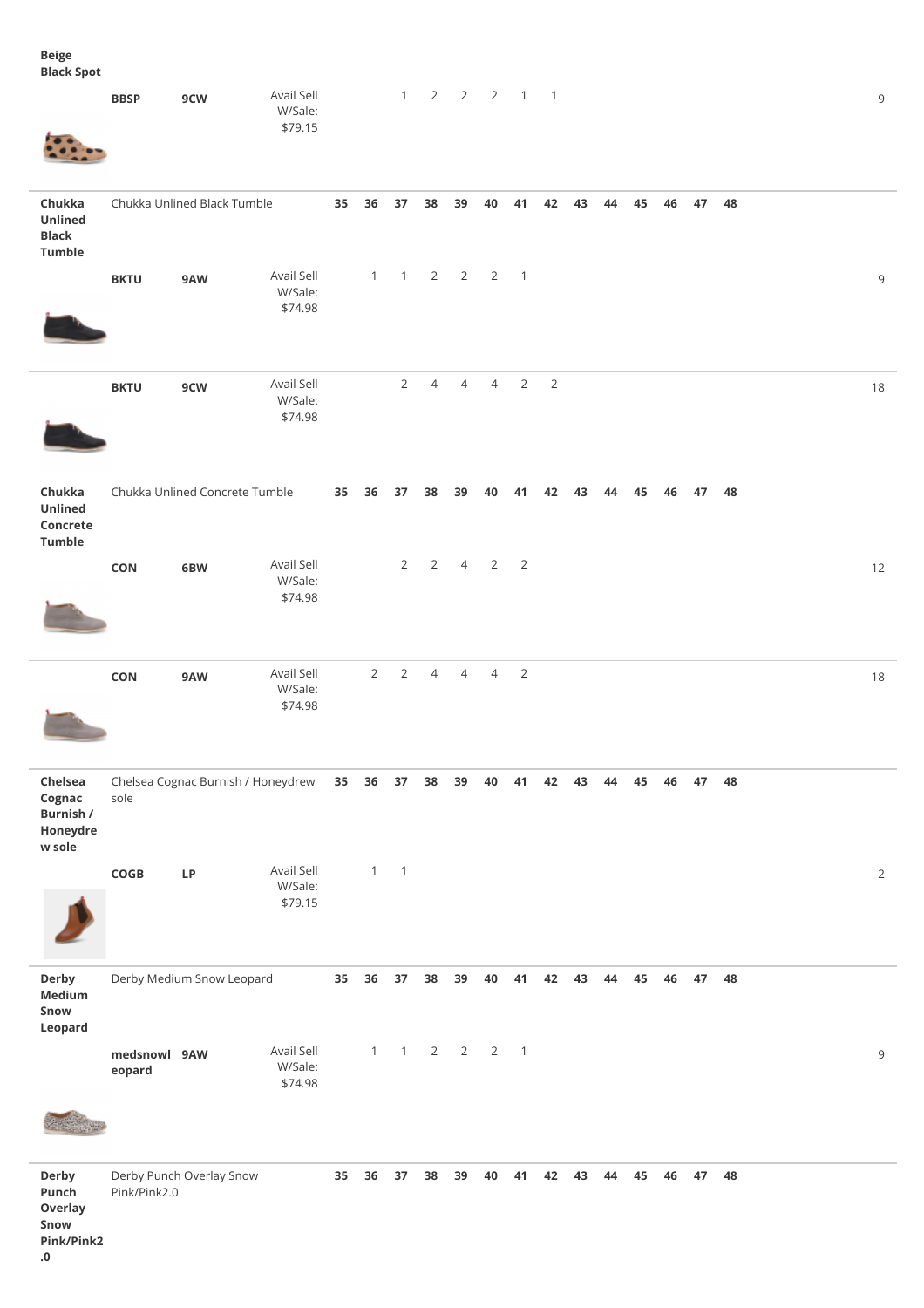**Beige Black Spot**

| ------- <b>-</b> ---                                 | <b>BBSP</b>            | 9CW                                | Avail Sell<br>W/Sale:<br>\$79.15 |    |                | $\mathbf{1}$             | $\overline{2}$ | $\overline{2}$ | $\overline{2}$                              | $1 \quad 1$    |                |       |    |       |                |       |    |  | 9              |
|------------------------------------------------------|------------------------|------------------------------------|----------------------------------|----|----------------|--------------------------|----------------|----------------|---------------------------------------------|----------------|----------------|-------|----|-------|----------------|-------|----|--|----------------|
| Chukka<br>Unlined<br><b>Black</b><br>Tumble          |                        | Chukka Unlined Black Tumble        |                                  | 35 | 36             | 37                       | 38             | 39             | 40                                          | 41             | 42             | 43    | 44 | 45    | 46             | 47    | 48 |  |                |
|                                                      | <b>BKTU</b>            | 9AW                                | Avail Sell<br>W/Sale:<br>\$74.98 |    |                |                          |                |                | $1 \quad 1 \quad 2 \quad 2 \quad 2 \quad 1$ |                |                |       |    |       |                |       |    |  | $\,9$          |
|                                                      | <b>BKTU</b>            | 9CW                                | Avail Sell<br>W/Sale:<br>\$74.98 |    |                | $\overline{2}$           | $\overline{4}$ | $\overline{4}$ | $\overline{4}$                              | $\overline{2}$ | $\overline{2}$ |       |    |       |                |       |    |  | 18             |
| Chukka<br>Unlined<br>Concrete<br>Tumble              |                        | Chukka Unlined Concrete Tumble     |                                  | 35 | 36             | 37                       | 38             | 39             | 40                                          | 41             | 42             | 43    | 44 | 45    | 46             | 47    | 48 |  |                |
|                                                      | CON                    | 6BW                                | Avail Sell<br>W/Sale:<br>\$74.98 |    |                | $2^{\circ}$              | $2^{\circ}$    |                | $4 \qquad 2 \qquad 2$                       |                |                |       |    |       |                |       |    |  | 12             |
|                                                      | CON                    | 9AW                                | Avail Sell<br>W/Sale:<br>\$74.98 |    | $\overline{2}$ | $\overline{2}$           | $\overline{4}$ | $\overline{4}$ | $\overline{4}$                              | $\overline{2}$ |                |       |    |       |                |       |    |  | 18             |
| Chelsea<br>Cognac<br>Burnish /<br>Honeydre<br>w sole | sole                   | Chelsea Cognac Burnish / Honeydrew |                                  |    | 35 36          | 37                       | 38             | 39             | 40                                          | 41             |                |       |    |       | 42 43 44 45 46 | 47 48 |    |  |                |
|                                                      | COGB                   | <b>LP</b>                          | Avail Sell<br>W/Sale:<br>\$79.15 |    | $\mathbf{1}$   | $\overline{\phantom{0}}$ |                |                |                                             |                |                |       |    |       |                |       |    |  | $\overline{2}$ |
| Derby<br><b>Medium</b><br>Snow<br>Leopard            |                        | Derby Medium Snow Leopard          |                                  | 35 | 36             | 37                       | 38             | 39             | 40                                          | 41             | 42             | 43    | 44 | 45    | 46             | 47 48 |    |  |                |
|                                                      | medsnowl 9AW<br>eopard |                                    | Avail Sell<br>W/Sale:<br>\$74.98 |    | $\mathbf{1}$   | $\mathbf{1}$             |                |                | $2 \qquad 2 \qquad 2$                       | $\overline{1}$ |                |       |    |       |                |       |    |  | $\mathsf 9$    |
| Derby<br>Punch<br>Overlay<br>Snow                    | Pink/Pink2.0           | Derby Punch Overlay Snow           |                                  | 35 | 36             | 37                       |                | 38 39 40       |                                             | 41             |                | 42 43 |    | 44 45 | 46             | 47 48 |    |  |                |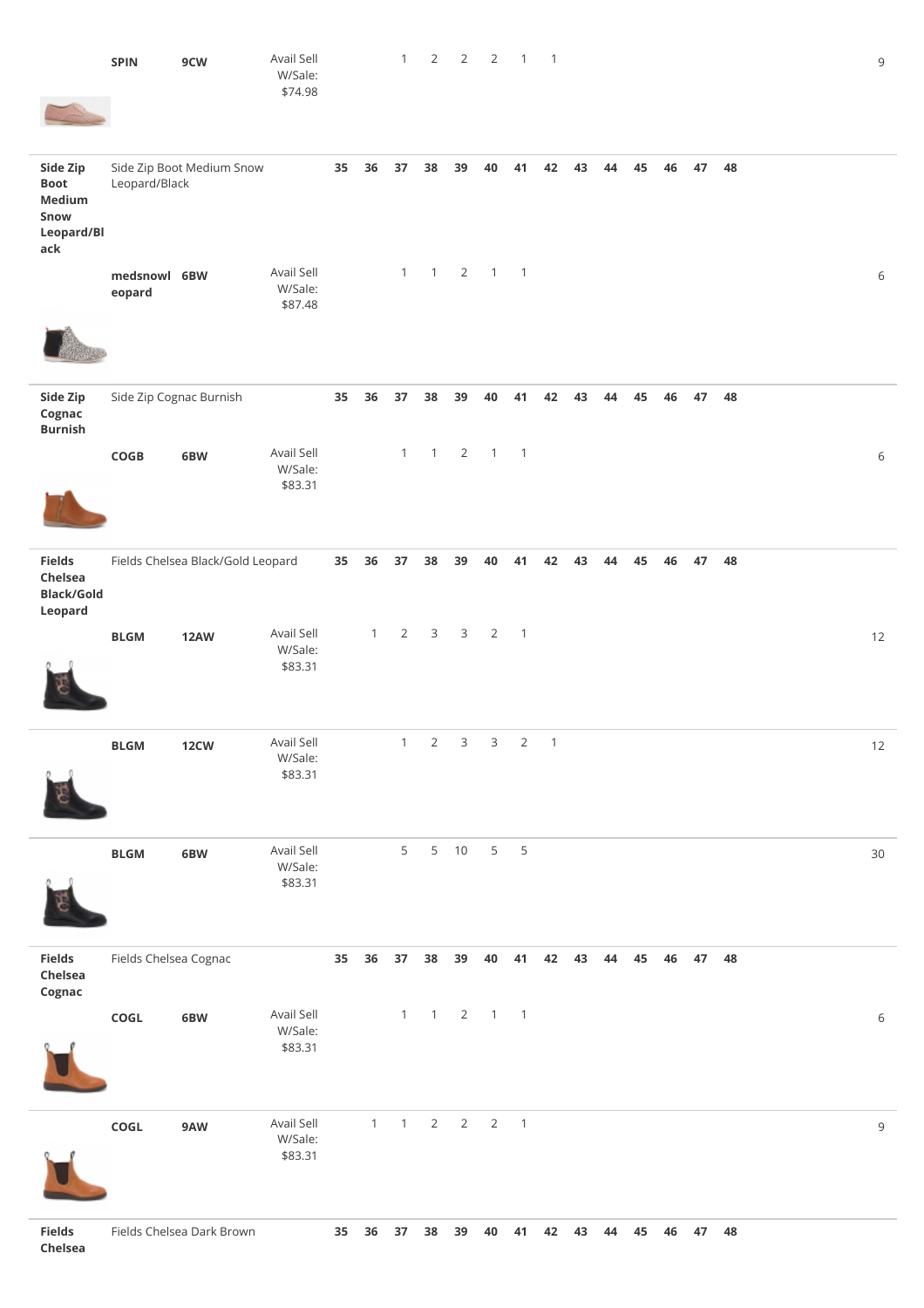|                                                                | <b>SPIN</b>            | 9CW                               | Avail Sell<br>W/Sale:<br>\$74.98 |    |              | $\mathbf{1}$                              | $\overline{2}$ | $\overline{2}$ | $\overline{2}$ | $\overline{1}$             | $\overline{\phantom{0}}$ |    |    |    |    |    |    |  | $\mathsf 9$ |
|----------------------------------------------------------------|------------------------|-----------------------------------|----------------------------------|----|--------------|-------------------------------------------|----------------|----------------|----------------|----------------------------|--------------------------|----|----|----|----|----|----|--|-------------|
| Side Zip<br><b>Boot</b><br>Medium<br>Snow<br>Leopard/Bl<br>ack | Leopard/Black          | Side Zip Boot Medium Snow         |                                  | 35 | 36           | 37                                        | 38             | 39             | 40             | 41                         | 42                       | 43 | 44 | 45 | 46 | 47 | 48 |  |             |
|                                                                | medsnowl 6BW<br>eopard |                                   | Avail Sell<br>W/Sale:<br>\$87.48 |    |              | $\mathbf{1}$                              | $\overline{1}$ | $\overline{2}$ | $\mathbf{1}$   | $\overline{1}$             |                          |    |    |    |    |    |    |  | 6           |
| Side Zip<br>Cognac<br><b>Burnish</b>                           |                        | Side Zip Cognac Burnish           |                                  | 35 | 36           | 37                                        | 38             | 39             | 40             | 41                         | 42                       | 43 | 44 | 45 | 46 | 47 | 48 |  |             |
|                                                                | COGB                   | 6BW                               | Avail Sell<br>W/Sale:<br>\$83.31 |    |              | 1                                         | $\mathbf{1}$   | $\overline{2}$ | $\overline{1}$ | $\overline{1}$             |                          |    |    |    |    |    |    |  | $6\,$       |
| <b>Fields</b><br>Chelsea<br><b>Black/Gold</b><br>Leopard       |                        | Fields Chelsea Black/Gold Leopard |                                  | 35 | 36           | 37                                        | 38             | 39             | 40             | 41                         | 42                       | 43 | 44 | 45 | 46 | 47 | 48 |  |             |
|                                                                | <b>BLGM</b>            | <b>12AW</b>                       | Avail Sell<br>W/Sale:<br>\$83.31 |    | $\mathbf{1}$ | $\overline{2}$                            | $\mathsf{3}$   | 3              | $\overline{2}$ | $\overline{\phantom{0}}$   |                          |    |    |    |    |    |    |  | 12          |
|                                                                | <b>BLGM</b>            | 12 <sub>CW</sub>                  | Avail Sell<br>W/Sale:<br>\$83.31 |    |              | $1 \quad$                                 | $2 \quad$      | 3              | $3^{\circ}$    |                            | $2 \quad 1$              |    |    |    |    |    |    |  | 12          |
|                                                                | <b>BLGM</b>            | 6BW                               | Avail Sell<br>W/Sale:<br>\$83.31 |    |              | 5                                         |                | 5 10           | 5 <sub>5</sub> | $\overline{5}$             |                          |    |    |    |    |    |    |  | 30          |
| <b>Fields</b><br>Chelsea<br>Cognac                             | Fields Chelsea Cognac  |                                   |                                  | 35 | 36           | 37                                        | 38             | 39             | 40             | 41                         | 42                       | 43 | 44 | 45 | 46 | 47 | 48 |  |             |
|                                                                | ${\sf COGL}$           | 6BW                               | Avail Sell<br>W/Sale:<br>\$83.31 |    |              |                                           | $1 \quad 1$    | $\overline{2}$ | $\overline{1}$ | $\overline{\phantom{0}}$ 1 |                          |    |    |    |    |    |    |  | $\,$ 6 $\,$ |
|                                                                | COGL                   | 9AW                               | Avail Sell<br>W/Sale:<br>\$83.31 |    | $\mathbf{1}$ | $\mathbf{1}$                              | $\overline{2}$ | $\overline{2}$ | $\overline{2}$ | $\overline{1}$             |                          |    |    |    |    |    |    |  | $\mathsf 9$ |
| <b>Fields</b>                                                  |                        | Fields Chelsea Dark Brown         |                                  |    |              | 35 36 37 38 39 40 41 42 43 44 45 46 47 48 |                |                |                |                            |                          |    |    |    |    |    |    |  |             |

**Chelsea**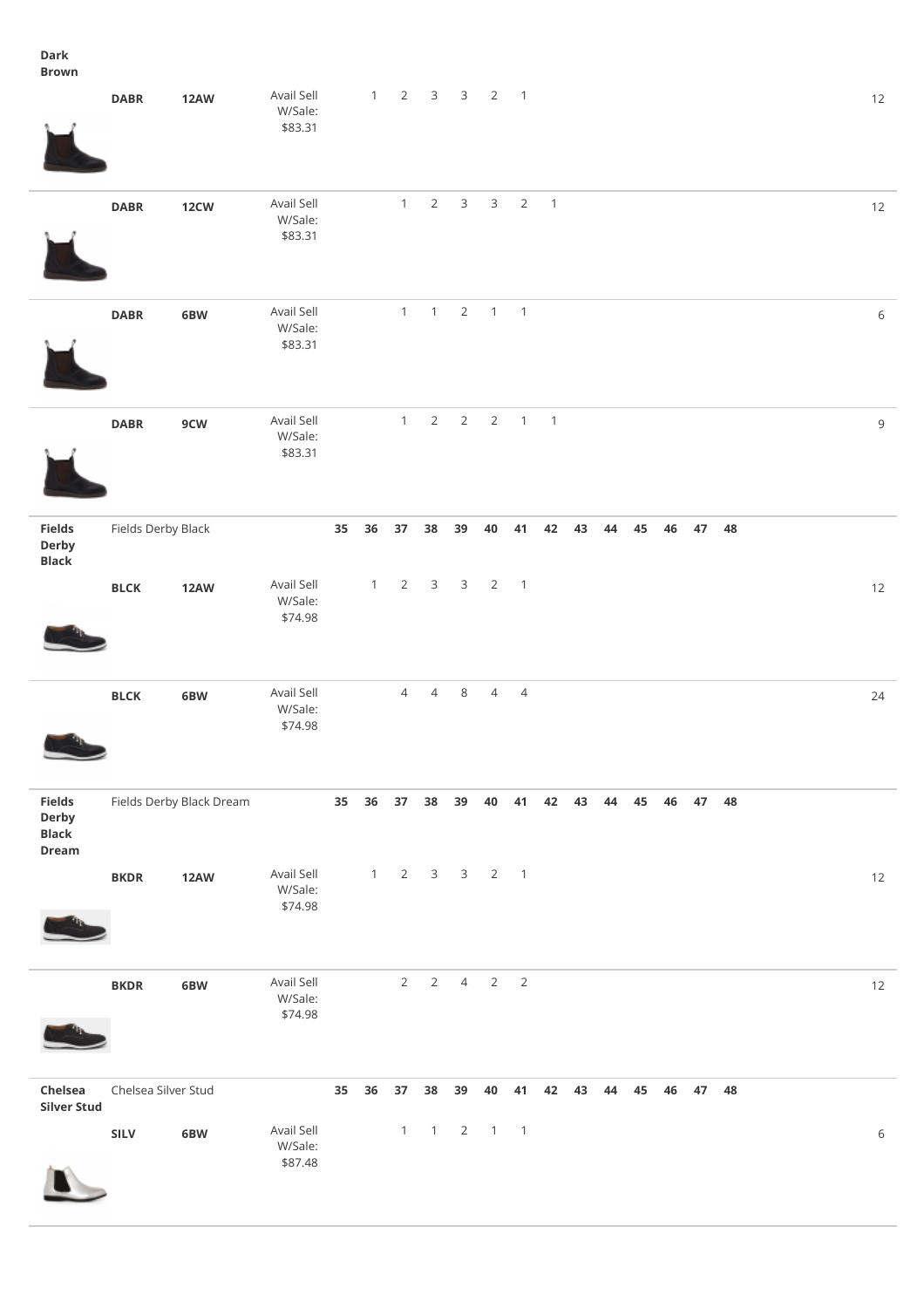## **Dark Brown**

|                                                 | <b>DABR</b>         | <b>12AW</b>              | Avail Sell<br>W/Sale:<br>\$83.31 |                 | $\mathbf{1}$ | $\overline{2}$ | $\overline{3}$ | $\mathsf 3$    | $\overline{2}$        | $\overline{\phantom{0}}$ |                |    |       |    |    |       |    |  | 12          |
|-------------------------------------------------|---------------------|--------------------------|----------------------------------|-----------------|--------------|----------------|----------------|----------------|-----------------------|--------------------------|----------------|----|-------|----|----|-------|----|--|-------------|
|                                                 | <b>DABR</b>         | 12 <sub>CW</sub>         | Avail Sell<br>W/Sale:<br>\$83.31 |                 |              | $\mathbf{1}$   | $\overline{2}$ | $\mathbf{3}$   | $\mathsf{3}$          | $\overline{2}$           | $\mathbf{1}$   |    |       |    |    |       |    |  | 12          |
|                                                 | <b>DABR</b>         | 6BW                      | Avail Sell<br>W/Sale:<br>\$83.31 |                 |              | $\mathbf{1}$   | $\overline{1}$ | $\overline{2}$ | $1 \quad 1$           |                          |                |    |       |    |    |       |    |  | $\,$ 6 $\,$ |
|                                                 | <b>DABR</b>         | 9CW                      | Avail Sell<br>W/Sale:<br>\$83.31 |                 |              | $\mathbf{1}$   | $\overline{2}$ | $\sqrt{2}$     | $\overline{2}$        | $\overline{1}$           | $\overline{1}$ |    |       |    |    |       |    |  | 9           |
| <b>Fields</b><br>Derby<br><b>Black</b>          | Fields Derby Black  |                          |                                  | 35 <sub>5</sub> | 36           | 37             | 38             | 39             | 40                    | 41                       | 42             | 43 | 44    | 45 | 46 | 47    | 48 |  |             |
|                                                 | $_{\rm B LCK}$      | <b>12AW</b>              | Avail Sell<br>W/Sale:<br>\$74.98 |                 | $\mathbf{1}$ | 2              | $\mathbf{3}$   | $\mathbf{3}$   |                       | $2 \quad 1$              |                |    |       |    |    |       |    |  | 12          |
|                                                 | $_{\rm{BLCK}}$      | 6BW                      | Avail Sell<br>W/Sale:<br>\$74.98 |                 |              | $\overline{4}$ | $\overline{4}$ | $\,8\,$        | $\overline{4}$        | $\overline{4}$           |                |    |       |    |    |       |    |  | 24          |
| <b>Fields</b><br>Derby<br><b>Black</b><br>Dream |                     | Fields Derby Black Dream |                                  |                 | 35 36        | 37             | 38             | 39             | 40                    | 41                       | 42             | 43 | 44    | 45 | 46 | 47    | 48 |  |             |
|                                                 | <b>BKDR</b>         | <b>12AW</b>              | Avail Sell<br>W/Sale:<br>\$74.98 |                 | $1 -$        |                | $2 \quad 3$    |                | $3 \qquad 2 \qquad 1$ |                          |                |    |       |    |    |       |    |  | 12          |
|                                                 | <b>BKDR</b>         | 6BW                      | Avail Sell<br>W/Sale:<br>\$74.98 |                 |              | 2              | 2              | $\overline{4}$ | $2\overline{ }$       | $\overline{\mathbf{c}}$  |                |    |       |    |    |       |    |  | 12          |
| Chelsea<br><b>Silver Stud</b>                   | Chelsea Silver Stud |                          |                                  | 35              | $36\,$       | 37             |                | 38 39          | 40                    |                          | 41 42          |    | 43 44 | 45 | 46 | 47 48 |    |  |             |
|                                                 | SILV                | 6BW                      | Avail Sell<br>W/Sale:<br>\$87.48 |                 |              | $\mathbf{1}$   | $\overline{1}$ | $\overline{2}$ | $\overline{1}$        | $\overline{\phantom{0}}$ |                |    |       |    |    |       |    |  | $\,$ 6 $\,$ |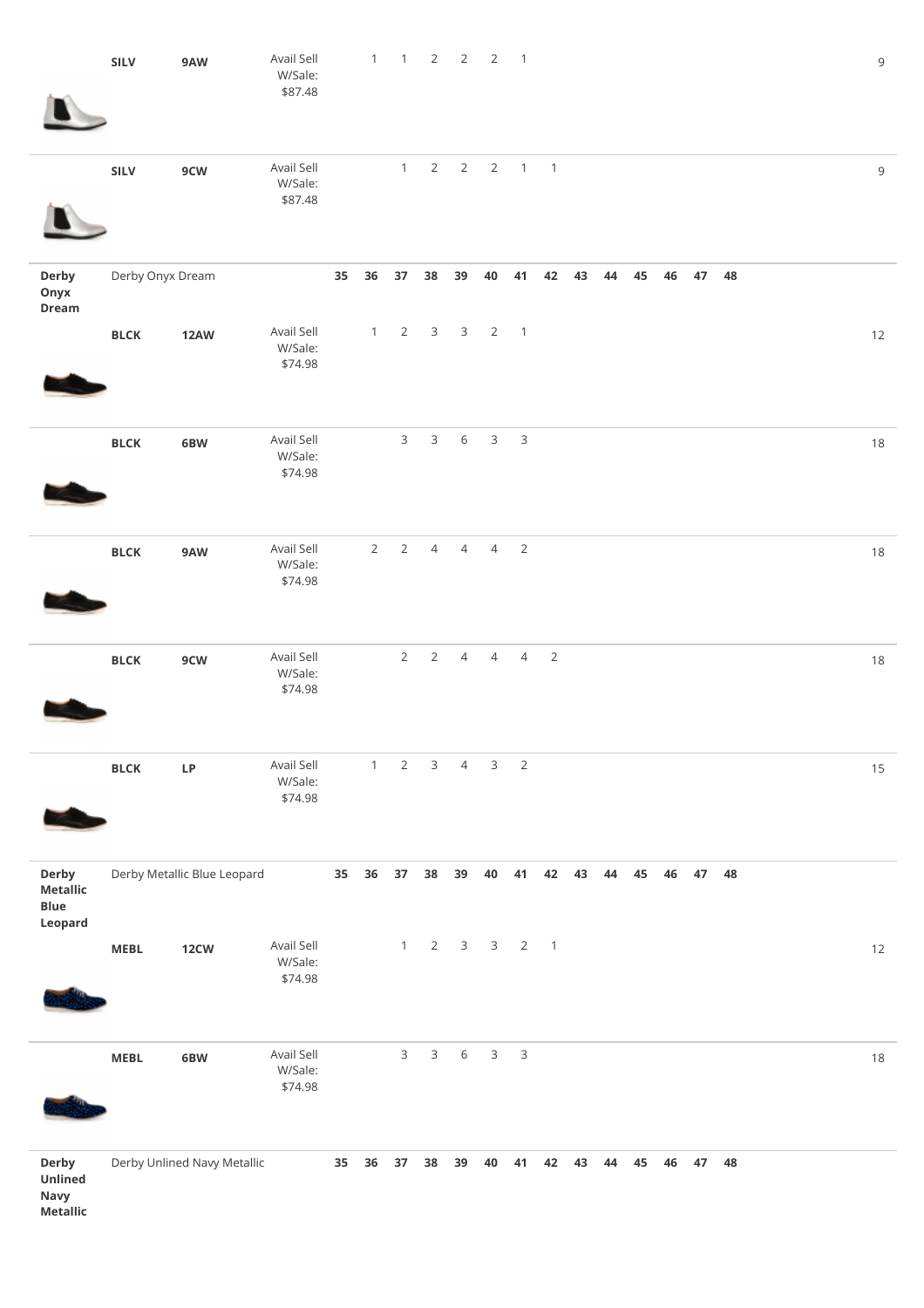|                                                    | SILV             | 9AW                         | Avail Sell<br>W/Sale:<br>\$87.48 |    | $\mathbf{1}$   | $\overline{1}$  | 2              | $\overline{2}$ | $\overline{2}$ | $\overline{1}$ |                            |       |    |    |    |                    |       |  | 9      |
|----------------------------------------------------|------------------|-----------------------------|----------------------------------|----|----------------|-----------------|----------------|----------------|----------------|----------------|----------------------------|-------|----|----|----|--------------------|-------|--|--------|
|                                                    | SILV             | 9CW                         | Avail Sell<br>W/Sale:<br>\$87.48 |    |                | $\mathbf{1}$    | $\overline{2}$ | $\overline{2}$ | $\overline{2}$ |                | $1 \quad 1$                |       |    |    |    |                    |       |  | 9      |
| Derby<br>Onyx<br>Dream                             | Derby Onyx Dream |                             |                                  | 35 | 36             | 37              | 38             | 39             | ${\bf 40}$     | 41             | 42                         | 43    | 44 | 45 | 46 |                    | 47 48 |  |        |
|                                                    | $_{\rm B LCK}$   | <b>12AW</b>                 | Avail Sell<br>W/Sale:<br>\$74.98 |    | $\mathbf{1}$   | $\overline{2}$  | $\mathbf{3}$   | $\overline{3}$ | $\overline{2}$ | $\overline{1}$ |                            |       |    |    |    |                    |       |  | $12$   |
|                                                    | $_{\rm B LCK}$   | 6BW                         | Avail Sell<br>W/Sale:<br>\$74.98 |    |                | $\mathsf{3}$    | $\mathbf{3}$   | $\,$ 6 $\,$    | $\mathsf{3}$   | $\mathsf 3$    |                            |       |    |    |    |                    |       |  | 18     |
|                                                    | BLCK             | 9AW                         | Avail Sell<br>W/Sale:<br>\$74.98 |    | $\overline{2}$ | $2\overline{ }$ | $\overline{4}$ | $\overline{4}$ | $\overline{4}$ | $\sqrt{2}$     |                            |       |    |    |    |                    |       |  | $18\,$ |
|                                                    | $_{\rm{BLCK}}$   | 9CW                         | Avail Sell<br>W/Sale:<br>\$74.98 |    |                | $\overline{2}$  | 2              | $\overline{4}$ | $\overline{4}$ | $\overline{4}$ | $\overline{\phantom{a}}$   |       |    |    |    |                    |       |  | $18\,$ |
|                                                    | BLCK             | $\ensuremath{\mathsf{LP}}$  | Avail Sell<br>W/Sale:<br>\$74.98 |    | $\mathbf{1}$   | $\overline{2}$  | 3 <sup>7</sup> | $\overline{4}$ | 3              | $\overline{2}$ |                            |       |    |    |    |                    |       |  | 15     |
| Derby<br><b>Metallic</b><br><b>Blue</b><br>Leopard |                  | Derby Metallic Blue Leopard |                                  | 35 | 36             | 37              | 38             | 39             | 40             | 41             | 42                         | 43    | 44 | 45 | 46 | 47                 | 48    |  |        |
|                                                    | <b>MEBL</b>      | 12 <sub>CW</sub>            | Avail Sell<br>W/Sale:<br>\$74.98 |    |                | $\mathbf{1}$    |                | $2 \quad 3$    | 3 <sup>7</sup> | $\overline{2}$ | $\overline{\phantom{0}}$ 1 |       |    |    |    |                    |       |  | 12     |
|                                                    | MEBL             | 6BW                         | Avail Sell<br>W/Sale:<br>\$74.98 |    |                | 3 <sup>7</sup>  |                | $3\quad 6$     | $\mathsf{3}$   | $\mathsf 3$    |                            |       |    |    |    |                    |       |  | $18\,$ |
| Derby<br>Unlined<br>Navy<br><b>Metallic</b>        |                  | Derby Unlined Navy Metallic |                                  |    | 35 36          | 37              | 38             |                | 39 40          | 41             |                            | 42 43 |    |    |    | 44  45  46  47  48 |       |  |        |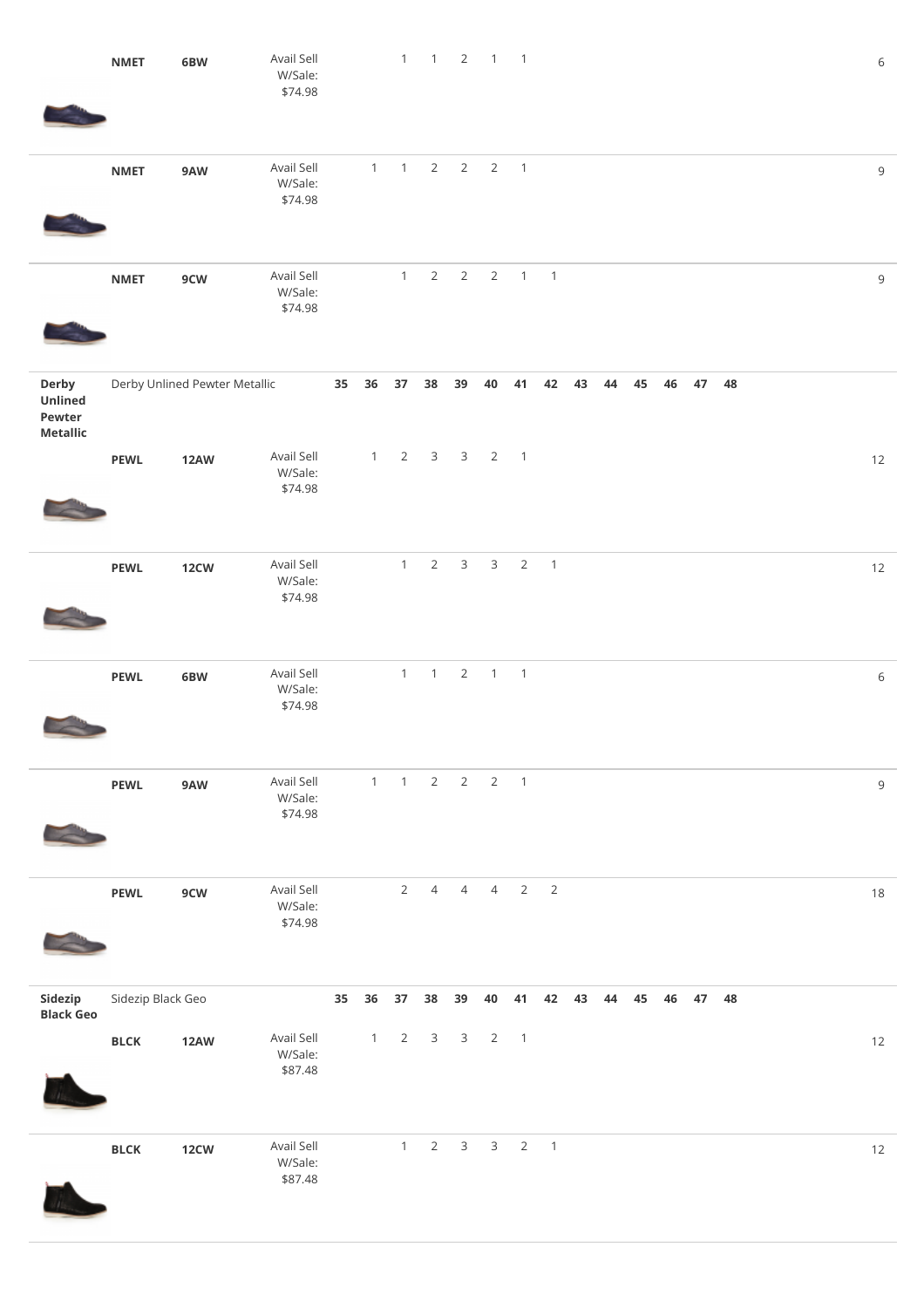|                                               | <b>NMET</b>       | 6BW                           | Avail Sell<br>W/Sale:<br>\$74.98 |    |              | $\mathbf{1}$ | $\overline{1}$          | $\overline{2}$  | $1 \quad 1$    |                            |                |    |       |    |    |       |    |  | $\sqrt{6}$  |
|-----------------------------------------------|-------------------|-------------------------------|----------------------------------|----|--------------|--------------|-------------------------|-----------------|----------------|----------------------------|----------------|----|-------|----|----|-------|----|--|-------------|
|                                               | <b>NMET</b>       | 9AW                           | Avail Sell<br>W/Sale:<br>\$74.98 |    | $\mathbf{1}$ | 1            | $\overline{2}$          | $\overline{2}$  | $\overline{2}$ | $\overline{\phantom{0}}$ 1 |                |    |       |    |    |       |    |  | $\mathsf 9$ |
|                                               | <b>NMET</b>       | 9CW                           | Avail Sell<br>W/Sale:<br>\$74.98 |    |              | $\mathbf{1}$ | $\overline{2}$          | $\overline{2}$  | $\overline{2}$ | $\overline{1}$             | $\overline{1}$ |    |       |    |    |       |    |  | $\,9$       |
| Derby<br>Unlined<br>Pewter<br><b>Metallic</b> |                   | Derby Unlined Pewter Metallic |                                  |    |              | 35 36 37     | 38                      | 39              | 40             | 41                         | 42             | 43 | 44    | 45 | 46 | 47    | 48 |  |             |
|                                               | <b>PEWL</b>       | <b>12AW</b>                   | Avail Sell<br>W/Sale:<br>\$74.98 |    | 1            |              | $2 \quad 3$             |                 | 3 <sub>2</sub> | $\overline{\phantom{0}}$ 1 |                |    |       |    |    |       |    |  | 12          |
|                                               | <b>PEWL</b>       | 12 <sub>CW</sub>              | Avail Sell<br>W/Sale:<br>\$74.98 |    |              | $\mathbf{1}$ | $\overline{2}$          | $\mathbf{3}$    | $\mathbf{3}$   | $\overline{2}$             | $\overline{1}$ |    |       |    |    |       |    |  | 12          |
|                                               | <b>PEWL</b>       | 6BW                           | Avail Sell<br>W/Sale:<br>\$74.98 |    |              | $\mathbf{1}$ | $\overline{1}$          | $\overline{2}$  | $1 \quad 1$    |                            |                |    |       |    |    |       |    |  | 6           |
|                                               | <b>PEWL</b>       | 9AW                           | Avail Sell<br>W/Sale:<br>\$74.98 |    | 1            |              | $1 \quad 2$             | $2\overline{ }$ |                | $2 \quad 1$                |                |    |       |    |    |       |    |  | $\,9$       |
|                                               | <b>PEWL</b>       | 9CW                           | Avail Sell<br>W/Sale:<br>\$74.98 |    |              |              | $2 \quad 4$             | $\overline{4}$  |                | $4\quad 2$                 | $\overline{2}$ |    |       |    |    |       |    |  | 18          |
| Sidezip<br><b>Black Geo</b>                   | Sidezip Black Geo |                               |                                  | 35 | 36           | 37           | 38                      | 39              | 40             | 41                         | 42             |    | 43 44 | 45 |    | 46 47 | 48 |  |             |
|                                               | <b>BLCK</b>       | <b>12AW</b>                   | Avail Sell<br>W/Sale:<br>\$87.48 |    | $\mathbf{1}$ | 2            | $\overline{\mathbf{3}}$ | $\mathsf{3}$    | $\overline{2}$ | $\overline{\phantom{0}}$   |                |    |       |    |    |       |    |  | 12          |
|                                               | <b>BLCK</b>       | <b>12CW</b>                   | Avail Sell<br>W/Sale:<br>\$87.48 |    |              | $\mathbf{1}$ | $\overline{2}$          | $\mathbf{3}$    | $\mathsf{3}$   | $\overline{2}$             | $\overline{1}$ |    |       |    |    |       |    |  | $12$        |